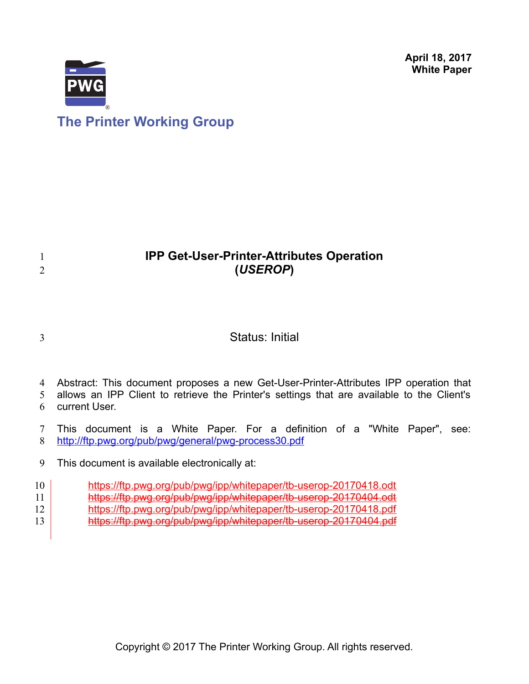**April 18, 2017 White Paper**



# **IPP Get-User-Printer-Attributes Operation (***USEROP***)**

3

1 2

# Status: Initial

Abstract: This document proposes a new Get-User-Printer-Attributes IPP operation that 4

allows an IPP Client to retrieve the Printer's settings that are available to the Client's current User. 5 6

This document is a White Paper. For a definition of a "White Paper", see: <http://ftp.pwg.org/pub/pwg/general/pwg-process30.pdf> 7 8

This document is available electronically at: 9

<https://ftp.pwg.org/pub/pwg/ipp/whitepaper/tb-userop-20170418.odt> 10

<https://ftp.pwg.org/pub/pwg/ipp/whitepaper/tb-userop-20170404.odt> 11

<https://ftp.pwg.org/pub/pwg/ipp/whitepaper/tb-userop-20170418.pdf> 12

https://ftp.pwg.org/pub/pwg/ipp/whitepaper/tb-userop-20170404.pdf 13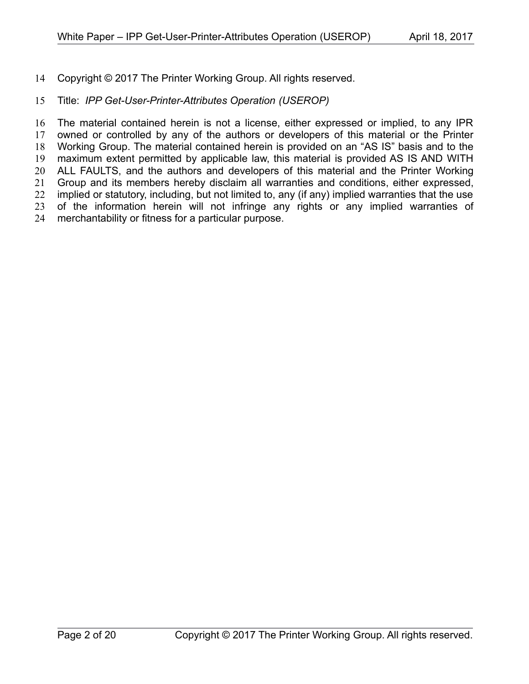Copyright © 2017 The Printer Working Group. All rights reserved. 14

#### Title: *IPP Get-User-Printer-Attributes Operation (USEROP)* 15

The material contained herein is not a license, either expressed or implied, to any IPR owned or controlled by any of the authors or developers of this material or the Printer Working Group. The material contained herein is provided on an "AS IS" basis and to the maximum extent permitted by applicable law, this material is provided AS IS AND WITH ALL FAULTS, and the authors and developers of this material and the Printer Working Group and its members hereby disclaim all warranties and conditions, either expressed, implied or statutory, including, but not limited to, any (if any) implied warranties that the use of the information herein will not infringe any rights or any implied warranties of merchantability or fitness for a particular purpose. 16 17 18 19 20 21 22 23 24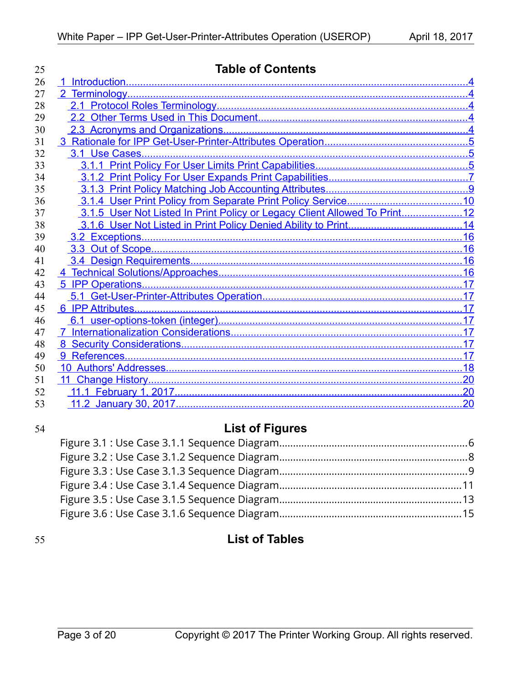| 25 | <b>Table of Contents</b>                                                  |     |  |  |
|----|---------------------------------------------------------------------------|-----|--|--|
| 26 |                                                                           |     |  |  |
| 27 |                                                                           |     |  |  |
| 28 |                                                                           |     |  |  |
| 29 |                                                                           |     |  |  |
| 30 |                                                                           |     |  |  |
| 31 |                                                                           |     |  |  |
| 32 |                                                                           |     |  |  |
| 33 |                                                                           |     |  |  |
| 34 |                                                                           |     |  |  |
| 35 |                                                                           |     |  |  |
| 36 |                                                                           |     |  |  |
| 37 | 3.1.5 User Not Listed In Print Policy or Legacy Client Allowed To Print12 |     |  |  |
| 38 |                                                                           |     |  |  |
| 39 |                                                                           |     |  |  |
| 40 |                                                                           |     |  |  |
| 41 |                                                                           |     |  |  |
| 42 |                                                                           |     |  |  |
| 43 |                                                                           |     |  |  |
| 44 |                                                                           |     |  |  |
| 45 |                                                                           |     |  |  |
| 46 |                                                                           |     |  |  |
| 47 |                                                                           |     |  |  |
| 48 |                                                                           |     |  |  |
| 49 |                                                                           |     |  |  |
| 50 |                                                                           |     |  |  |
| 51 |                                                                           |     |  |  |
| 52 |                                                                           |     |  |  |
| 53 |                                                                           | .20 |  |  |

# 54

# **List of Figures**

# 55

# **List of Tables**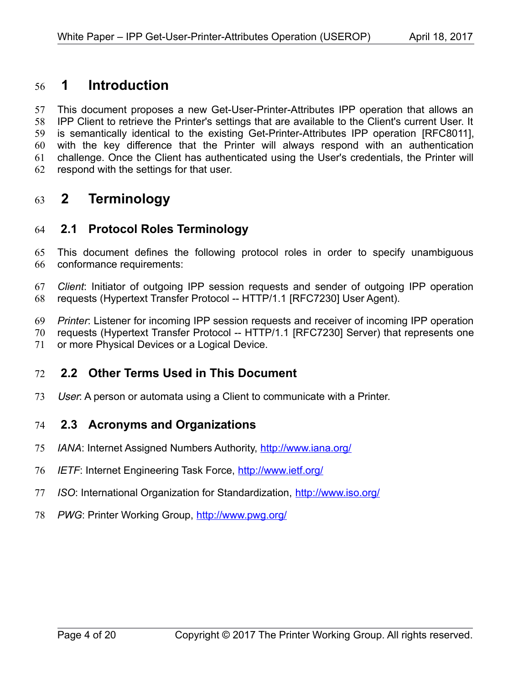## <span id="page-3-4"></span> **1 Introduction** 56

This document proposes a new Get-User-Printer-Attributes IPP operation that allows an IPP Client to retrieve the Printer's settings that are available to the Client's current User. It is semantically identical to the existing Get-Printer-Attributes IPP operation [\[RFC8011\],](#page-17-2) with the key difference that the Printer will always respond with an authentication challenge. Once the Client has authenticated using the User's credentials, the Printer will respond with the settings for that user. 57 58 59 60 61 62

# <span id="page-3-3"></span> **2 Terminology** 63

## <span id="page-3-2"></span> **2.1 Protocol Roles Terminology** 64

This document defines the following protocol roles in order to specify unambiguous conformance requirements: 65 66

*Client*: Initiator of outgoing IPP session requests and sender of outgoing IPP operation requests (Hypertext Transfer Protocol -- HTTP/1.1 [\[RFC7230\]](#page-17-3) User Agent). 67 68

*Printer*: Listener for incoming IPP session requests and receiver of incoming IPP operation 69

requests (Hypertext Transfer Protocol -- HTTP/1.1 [\[RFC7230\]](#page-17-3) Server) that represents one 70

or more Physical Devices or a Logical Device. 71

## <span id="page-3-1"></span> **2.2 Other Terms Used in This Document** 72

User: A person or automata using a Client to communicate with a Printer. 73

## <span id="page-3-0"></span> **2.3 Acronyms and Organizations** 74

- *IANA*: Internet Assigned Numbers Authority,<http://www.iana.org/> 75
- *IETF*: Internet Engineering Task Force,<http://www.ietf.org/> 76
- *ISO*: International Organization for Standardization,<http://www.iso.org/> 77
- 78 PWG: Printer Working Group, **http://www.pwg.org/**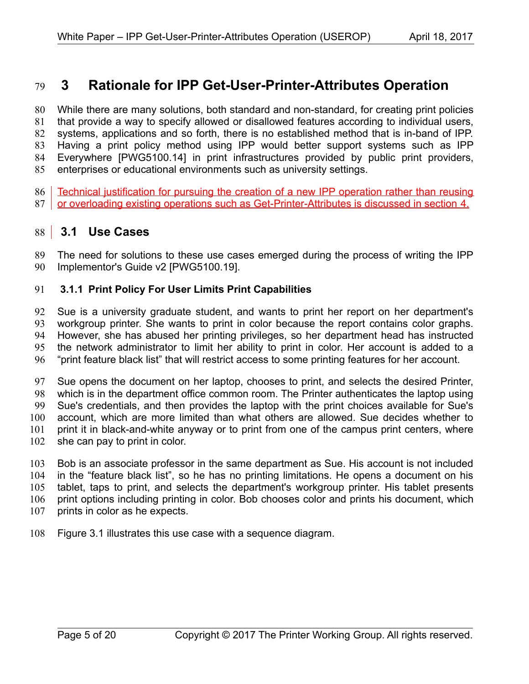## <span id="page-4-2"></span> **3 Rationale for IPP Get-User-Printer-Attributes Operation** 79

While there are many solutions, both standard and non-standard, for creating print policies that provide a way to specify allowed or disallowed features according to individual users, systems, applications and so forth, there is no established method that is in-band of IPP. Having a print policy method using IPP would better support systems such as IPP Everywhere [\[PWG5100.14\]](#page-17-5) in print infrastructures provided by public print providers, enterprises or educational environments such as university settings. 80 81 82 83 84 85

Technical justification for pursuing the creation of a new IPP operation rather than reusing 87 or overloading existing operations such as Get-Printer-Attributes is discussed in section [4.](#page-15-0) 86

# <span id="page-4-1"></span> **3.1 Use Cases** 88

The need for solutions to these use cases emerged during the process of writing the IPP Implementor's Guide v2 [\[PWG5100.19\].](#page-17-4) 89 90

#### <span id="page-4-0"></span> **3.1.1 Print Policy For User Limits Print Capabilities** 91

Sue is a university graduate student, and wants to print her report on her department's workgroup printer. She wants to print in color because the report contains color graphs. However, she has abused her printing privileges, so her department head has instructed the network administrator to limit her ability to print in color. Her account is added to a "print feature black list" that will restrict access to some printing features for her account. 92 93 94 95 96

Sue opens the document on her laptop, chooses to print, and selects the desired Printer, which is in the department office common room. The Printer authenticates the laptop using Sue's credentials, and then provides the laptop with the print choices available for Sue's account, which are more limited than what others are allowed. Sue decides whether to print it in black-and-white anyway or to print from one of the campus print centers, where she can pay to print in color. 97 98 99 100 101 102

Bob is an associate professor in the same department as Sue. His account is not included in the "feature black list", so he has no printing limitations. He opens a document on his tablet, taps to print, and selects the department's workgroup printer. His tablet presents print options including printing in color. Bob chooses color and prints his document, which prints in color as he expects. 103 104 105 106 107

Figure [3.1](#page-5-0) illustrates this use case with a sequence diagram. 108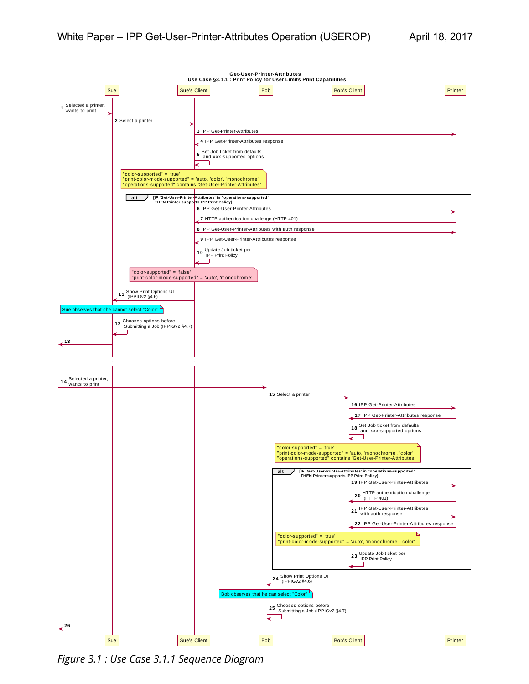

<span id="page-5-0"></span>*Figure 3.1 : Use Case 3.1.1 Sequence Diagram*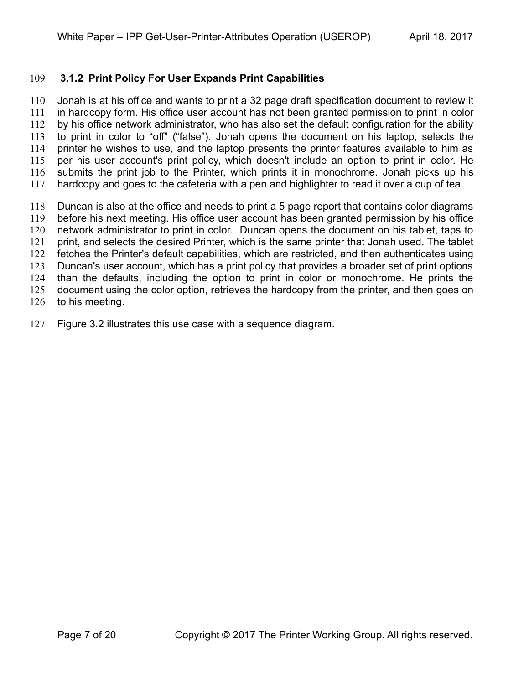#### <span id="page-6-0"></span> **3.1.2 Print Policy For User Expands Print Capabilities** 109

Jonah is at his office and wants to print a 32 page draft specification document to review it in hardcopy form. His office user account has not been granted permission to print in color by his office network administrator, who has also set the default configuration for the ability to print in color to "off" ("false"). Jonah opens the document on his laptop, selects the printer he wishes to use, and the laptop presents the printer features available to him as per his user account's print policy, which doesn't include an option to print in color. He submits the print job to the Printer, which prints it in monochrome. Jonah picks up his hardcopy and goes to the cafeteria with a pen and highlighter to read it over a cup of tea. 110 111 112 113 114 115 116 117

Duncan is also at the office and needs to print a 5 page report that contains color diagrams before his next meeting. His office user account has been granted permission by his office network administrator to print in color. Duncan opens the document on his tablet, taps to print, and selects the desired Printer, which is the same printer that Jonah used. The tablet fetches the Printer's default capabilities, which are restricted, and then authenticates using Duncan's user account, which has a print policy that provides a broader set of print options than the defaults, including the option to print in color or monochrome. He prints the document using the color option, retrieves the hardcopy from the printer, and then goes on to his meeting. 118 119 120 121 122 123 124 125 126

Figure [3.2](#page-7-0) illustrates this use case with a sequence diagram. 127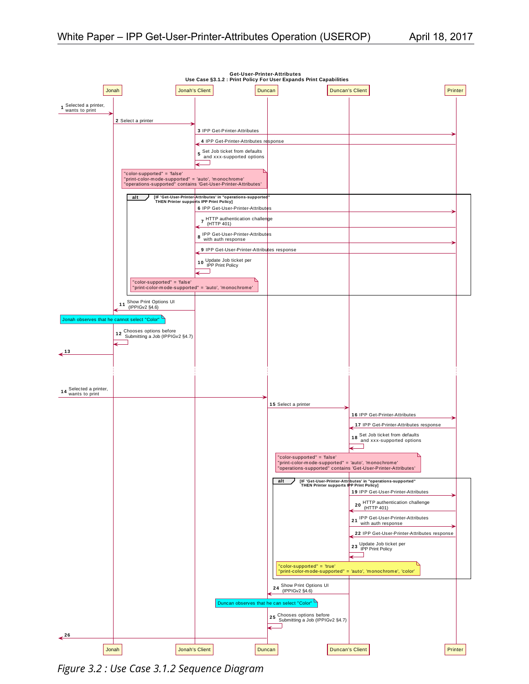

<span id="page-7-0"></span>*Figure 3.2 : Use Case 3.1.2 Sequence Diagram*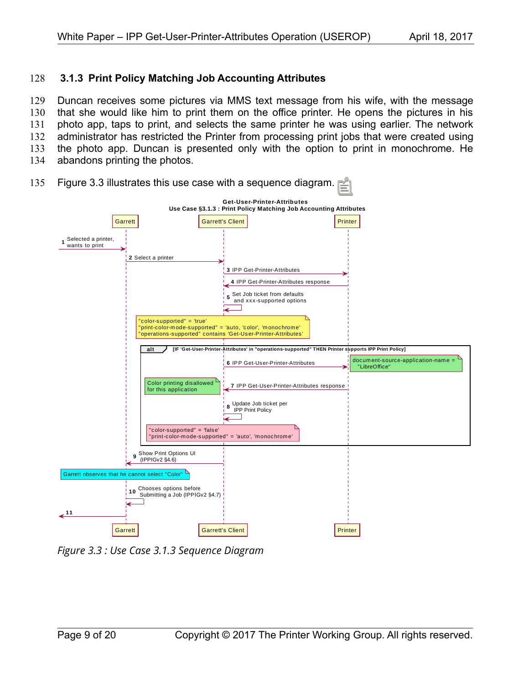#### <span id="page-8-0"></span> **3.1.3 Print Policy Matching Job Accounting Attributes** 128

Duncan receives some pictures via MMS text message from his wife, with the message that she would like him to print them on the office printer. He opens the pictures in his photo app, taps to print, and selects the same printer he was using earlier. The network administrator has restricted the Printer from processing print jobs that were created using the photo app. Duncan is presented only with the option to print in monochrome. He abandons printing the photos. 129 130 131 132 133 134



Figure [3.3](#page-8-1) illustrates this use case with a sequence diagram. 135

<span id="page-8-1"></span>*Figure 3.3 : Use Case 3.1.3 Sequence Diagram*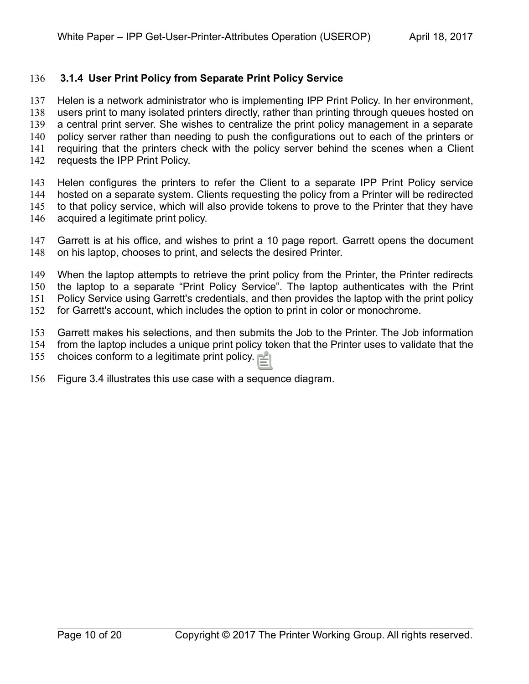#### <span id="page-9-0"></span> **3.1.4 User Print Policy from Separate Print Policy Service** 136

Helen is a network administrator who is implementing IPP Print Policy. In her environment, users print to many isolated printers directly, rather than printing through queues hosted on a central print server. She wishes to centralize the print policy management in a separate policy server rather than needing to push the configurations out to each of the printers or requiring that the printers check with the policy server behind the scenes when a Client requests the IPP Print Policy. 137 138 139 140 141 142

Helen configures the printers to refer the Client to a separate IPP Print Policy service hosted on a separate system. Clients requesting the policy from a Printer will be redirected to that policy service, which will also provide tokens to prove to the Printer that they have acquired a legitimate print policy. 143 144 145 146

Garrett is at his office, and wishes to print a 10 page report. Garrett opens the document on his laptop, chooses to print, and selects the desired Printer. 147 148

When the laptop attempts to retrieve the print policy from the Printer, the Printer redirects 149 150

the laptop to a separate "Print Policy Service". The laptop authenticates with the Print Policy Service using Garrett's credentials, and then provides the laptop with the print policy 151

for Garrett's account, which includes the option to print in color or monochrome. 152

Garrett makes his selections, and then submits the Job to the Printer. The Job information 153

from the laptop includes a unique print policy token that the Printer uses to validate that the 154

choices conform to a legitimate print policy. 155

Figure [3.4](#page-10-0) illustrates this use case with a sequence diagram. 156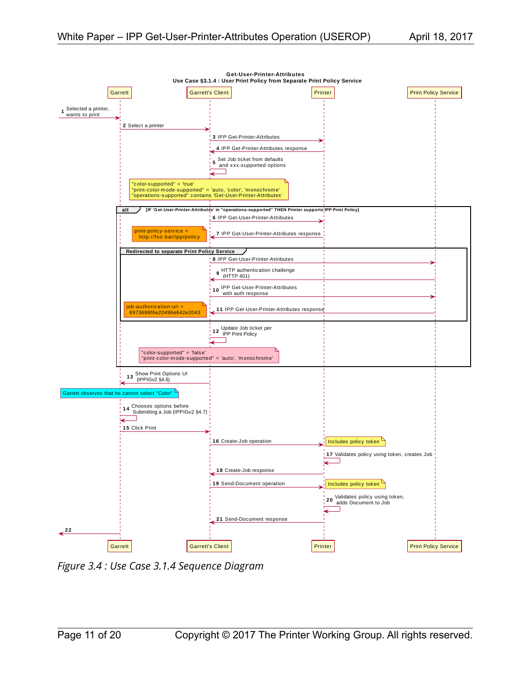

<span id="page-10-0"></span>*Figure 3.4 : Use Case 3.1.4 Sequence Diagram*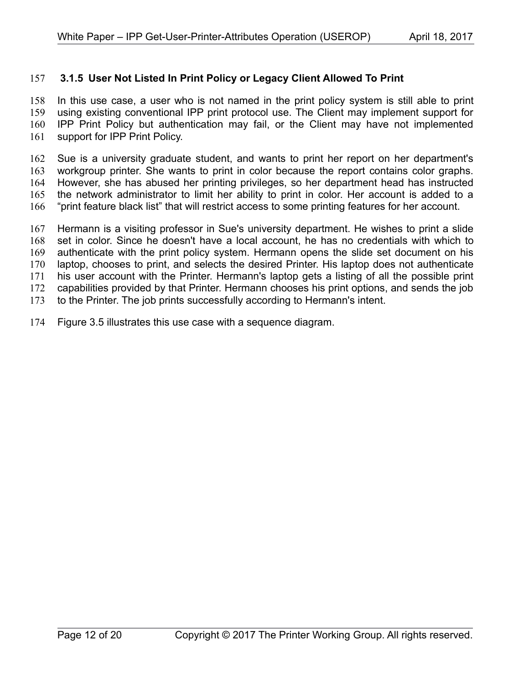#### <span id="page-11-0"></span> **3.1.5 User Not Listed In Print Policy or Legacy Client Allowed To Print** 157

In this use case, a user who is not named in the print policy system is still able to print using existing conventional IPP print protocol use. The Client may implement support for IPP Print Policy but authentication may fail, or the Client may have not implemented support for IPP Print Policy. 158 159 160 161

Sue is a university graduate student, and wants to print her report on her department's workgroup printer. She wants to print in color because the report contains color graphs. However, she has abused her printing privileges, so her department head has instructed the network administrator to limit her ability to print in color. Her account is added to a "print feature black list" that will restrict access to some printing features for her account. 162 163 164 165 166

Hermann is a visiting professor in Sue's university department. He wishes to print a slide set in color. Since he doesn't have a local account, he has no credentials with which to authenticate with the print policy system. Hermann opens the slide set document on his laptop, chooses to print, and selects the desired Printer. His laptop does not authenticate his user account with the Printer. Hermann's laptop gets a listing of all the possible print capabilities provided by that Printer. Hermann chooses his print options, and sends the job to the Printer. The job prints successfully according to Hermann's intent. 167 168 169 170 171 172 173

Figure [3.5](#page-12-0) illustrates this use case with a sequence diagram. 174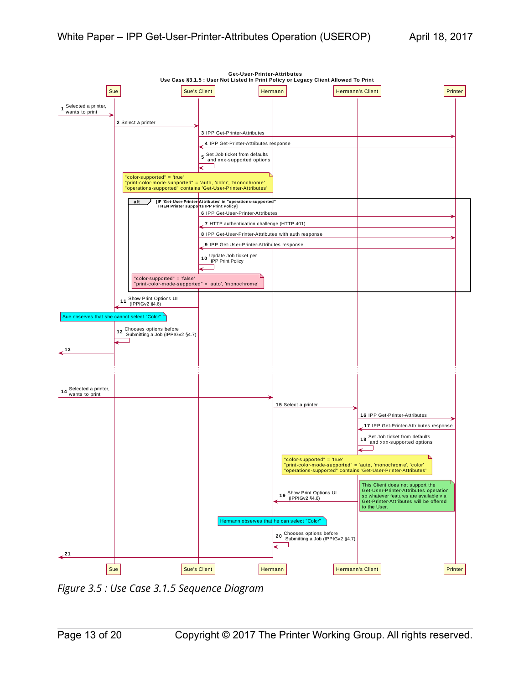

<span id="page-12-0"></span>*Figure 3.5 : Use Case 3.1.5 Sequence Diagram*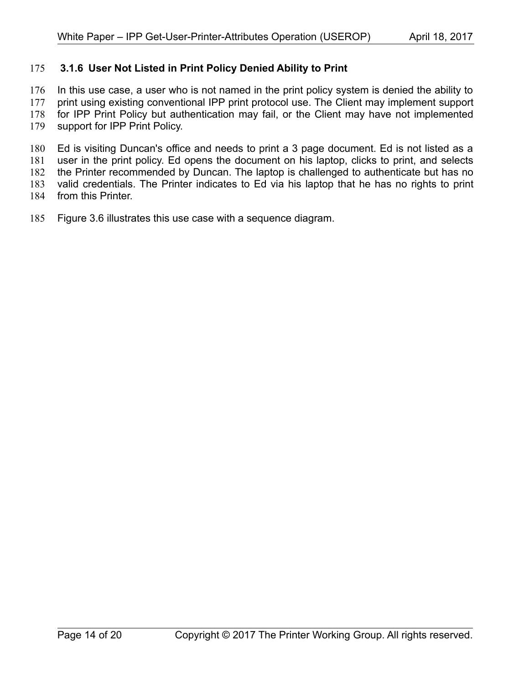#### <span id="page-13-0"></span> **3.1.6 User Not Listed in Print Policy Denied Ability to Print** 175

In this use case, a user who is not named in the print policy system is denied the ability to 176

print using existing conventional IPP print protocol use. The Client may implement support for IPP Print Policy but authentication may fail, or the Client may have not implemented 177 178

support for IPP Print Policy. 179

Ed is visiting Duncan's office and needs to print a 3 page document. Ed is not listed as a user in the print policy. Ed opens the document on his laptop, clicks to print, and selects the Printer recommended by Duncan. The laptop is challenged to authenticate but has no 180 181 182

valid credentials. The Printer indicates to Ed via his laptop that he has no rights to print 183

- from this Printer. 184
- Figure [3.6](#page-14-0) illustrates this use case with a sequence diagram. 185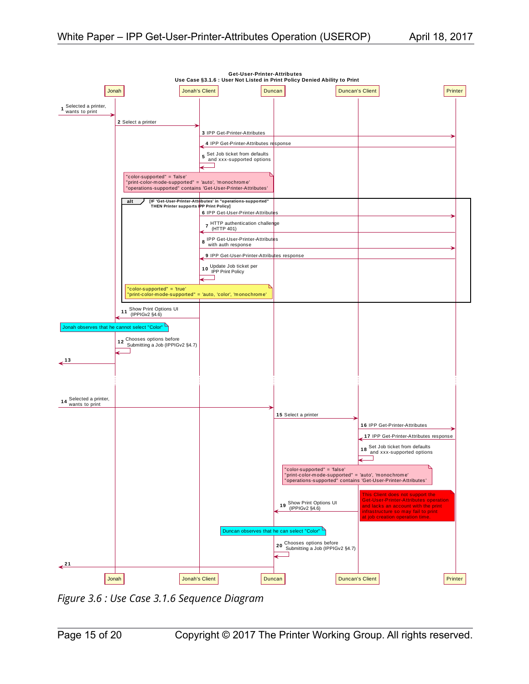

<span id="page-14-0"></span>*Figure 3.6 : Use Case 3.1.6 Sequence Diagram*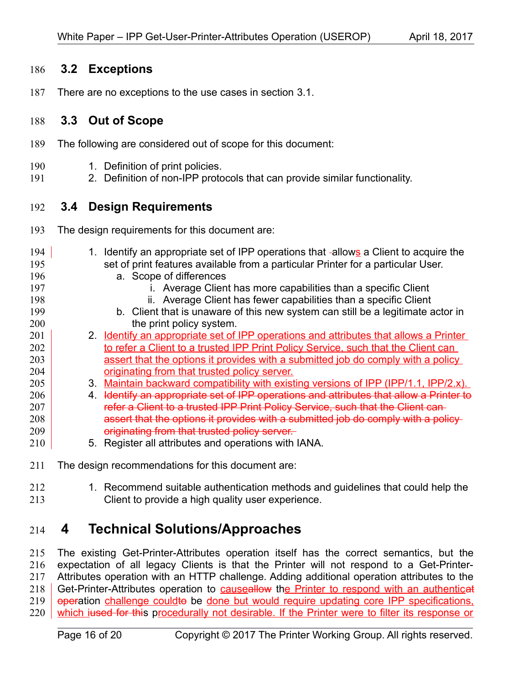### <span id="page-15-3"></span> **3.2 Exceptions** 186

There are no exceptions to the use cases in section [3.1.](#page-4-1) 187

### <span id="page-15-2"></span> **3.3 Out of Scope** 188

- The following are considered out of scope for this document: 189
- 1. Definition of print policies. 190
- 2. Definition of non-IPP protocols that can provide similar functionality. 191

### <span id="page-15-1"></span> **3.4 Design Requirements** 192

- The design requirements for this document are: 193
- 1. Identify an appropriate set of IPP operations that -allows a Client to acquire the set of print features available from a particular Printer for a particular User. a. Scope of differences i. Average Client has more capabilities than a specific Client ii. Average Client has fewer capabilities than a specific Client b. Client that is unaware of this new system can still be a legitimate actor in the print policy system. 2. Identify an appropriate set of IPP operations and attributes that allows a Printer to refer a Client to a trusted IPP Print Policy Service, such that the Client can assert that the options it provides with a submitted job do comply with a policy originating from that trusted policy server. 3. Maintain backward compatibility with existing versions of IPP (IPP/1.1, IPP/2.x). 4. Identify an appropriate set of IPP operations and attributes that allow a Printer to refer a Client to a trusted IPP Print Policy Service, such that the Client can assert that the options it provides with a submitted job do comply with a policy originating from that trusted policy server. 5. Register all attributes and operations with IANA. 194 195 196 197 198 199 200 201 202 203 204 205 206 207 208 209 210
- The design recommendations for this document are: 211
- 1. Recommend suitable authentication methods and guidelines that could help the Client to provide a high quality user experience. 212 213

## <span id="page-15-0"></span> **4 Technical Solutions/Approaches** 214

The existing Get-Printer-Attributes operation itself has the correct semantics, but the expectation of all legacy Clients is that the Printer will not respond to a Get-Printer-Attributes operation with an HTTP challenge. Adding additional operation attributes to the Get-Printer-Attributes operation to **causeallow** the Printer to respond with an authenticat operation challenge couldto be done but would require updating core IPP specifications, which jused for this procedurally not desirable. If the Printer were to filter its response or 215 216 217 218 219 220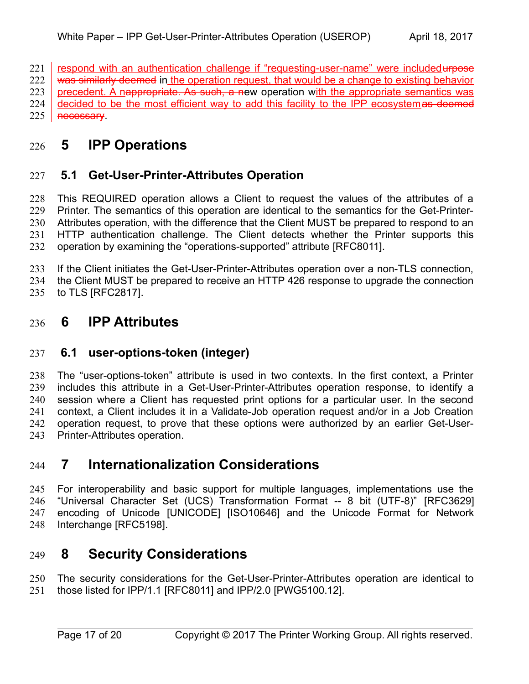respond with an authentication challenge if "requesting-user-name" were included urpose 221

was similarly deemed in the operation request, that would be a change to existing behavior 222

precedent. A nappropriate. As such, a new operation with the appropriate semantics was 223

decided to be the most efficient way to add this facility to the IPP ecosystemas deemed necessary. 224 225

# <span id="page-16-5"></span> **5 IPP Operations** 226

## <span id="page-16-4"></span> **5.1 Get-User-Printer-Attributes Operation** 227

This REQUIRED operation allows a Client to request the values of the attributes of a Printer. The semantics of this operation are identical to the semantics for the Get-Printer-Attributes operation, with the difference that the Client MUST be prepared to respond to an HTTP authentication challenge. The Client detects whether the Printer supports this operation by examining the "operations-supported" attribute [\[RFC8011\].](#page-17-2) 228 229 230 231 232

If the Client initiates the Get-User-Printer-Attributes operation over a non-TLS connection, 233

the Client MUST be prepared to receive an HTTP 426 response to upgrade the connection 234

to TLS [\[RFC2817\].](#page-17-11) 235

## <span id="page-16-3"></span> **6 IPP Attributes** 236

## <span id="page-16-2"></span> **6.1 user-options-token (integer)** 237

The "user-options-token" attribute is used in two contexts. In the first context, a Printer includes this attribute in a Get-User-Printer-Attributes operation response, to identify a session where a Client has requested print options for a particular user. In the second context, a Client includes it in a Validate-Job operation request and/or in a Job Creation operation request, to prove that these options were authorized by an earlier Get-User-Printer-Attributes operation. 238 239 240 241 242 243

## <span id="page-16-1"></span> **7 Internationalization Considerations** 244

For interoperability and basic support for multiple languages, implementations use the "Universal Character Set (UCS) Transformation Format -- 8 bit (UTF-8)" [\[RFC3629\]](#page-17-10) encoding of Unicode [\[UNICODE\]](#page-17-9) [\[ISO10646\]](#page-17-8) and the Unicode Format for Network Interchange [\[RFC5198\].](#page-17-7) 245 246 247 248

# <span id="page-16-0"></span> **8 Security Considerations** 249

The security considerations for the Get-User-Printer-Attributes operation are identical to those listed for IPP/1.1 [\[RFC8011\]](#page-17-2) and IPP/2.0 [\[PWG5100.12\].](#page-17-6) 250 251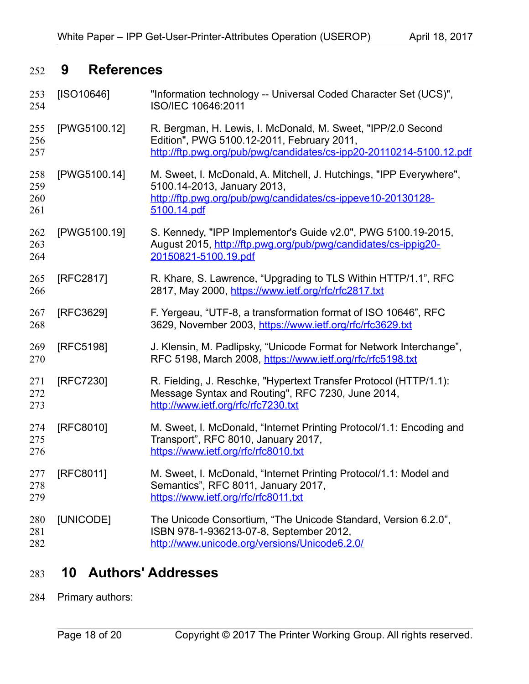# <span id="page-17-1"></span> **9 References** 252

<span id="page-17-11"></span><span id="page-17-10"></span><span id="page-17-8"></span><span id="page-17-6"></span><span id="page-17-5"></span><span id="page-17-4"></span>

| 253<br>254               | [ SO10646]   | "Information technology -- Universal Coded Character Set (UCS)",<br>ISO/IEC 10646:2011                                                                                            |
|--------------------------|--------------|-----------------------------------------------------------------------------------------------------------------------------------------------------------------------------------|
| 255<br>256<br>257        | [PWG5100.12] | R. Bergman, H. Lewis, I. McDonald, M. Sweet, "IPP/2.0 Second<br>Edition", PWG 5100.12-2011, February 2011,<br>http://ftp.pwg.org/pub/pwg/candidates/cs-ipp20-20110214-5100.12.pdf |
| 258<br>259<br>260<br>261 | [PWG5100.14] | M. Sweet, I. McDonald, A. Mitchell, J. Hutchings, "IPP Everywhere",<br>5100.14-2013, January 2013,<br>http://ftp.pwg.org/pub/pwg/candidates/cs-ippeve10-20130128-<br>5100.14.pdf  |
| 262<br>263<br>264        | [PWG5100.19] | S. Kennedy, "IPP Implementor's Guide v2.0", PWG 5100.19-2015,<br>August 2015, http://ftp.pwg.org/pub/pwg/candidates/cs-ippig20-<br>20150821-5100.19.pdf                           |
| 265<br>266               | [RFC2817]    | R. Khare, S. Lawrence, "Upgrading to TLS Within HTTP/1.1", RFC<br>2817, May 2000, https://www.ietf.org/rfc/rfc2817.txt                                                            |
| 267<br>268               | [RFC3629]    | F. Yergeau, "UTF-8, a transformation format of ISO 10646", RFC<br>3629, November 2003, https://www.ietf.org/rfc/rfc3629.txt                                                       |
| 269<br>270               | [RFC5198]    | J. Klensin, M. Padlipsky, "Unicode Format for Network Interchange",<br>RFC 5198, March 2008, https://www.ietf.org/rfc/rfc5198.txt                                                 |
| 271<br>272<br>273        | [RFC7230]    | R. Fielding, J. Reschke, "Hypertext Transfer Protocol (HTTP/1.1):<br>Message Syntax and Routing", RFC 7230, June 2014,<br>http://www.ietf.org/rfc/rfc7230.txt                     |
| 274<br>275<br>276        | [RFC8010]    | M. Sweet, I. McDonald, "Internet Printing Protocol/1.1: Encoding and<br>Transport", RFC 8010, January 2017,<br>https://www.ietf.org/rfc/rfc8010.txt                               |
| 277<br>278<br>279        | [RFC8011]    | M. Sweet, I. McDonald, "Internet Printing Protocol/1.1: Model and<br>Semantics", RFC 8011, January 2017,<br>https://www.ietf.org/rfc/rfc8011.txt                                  |
| 280<br>281<br>282        | [UNICODE]    | The Unicode Consortium, "The Unicode Standard, Version 6.2.0",<br>ISBN 978-1-936213-07-8, September 2012,<br>http://www.unicode.org/versions/Unicode6.2.0/                        |

# <span id="page-17-9"></span><span id="page-17-7"></span><span id="page-17-3"></span><span id="page-17-2"></span><span id="page-17-0"></span> **10 Authors' Addresses** 283

Primary authors: 284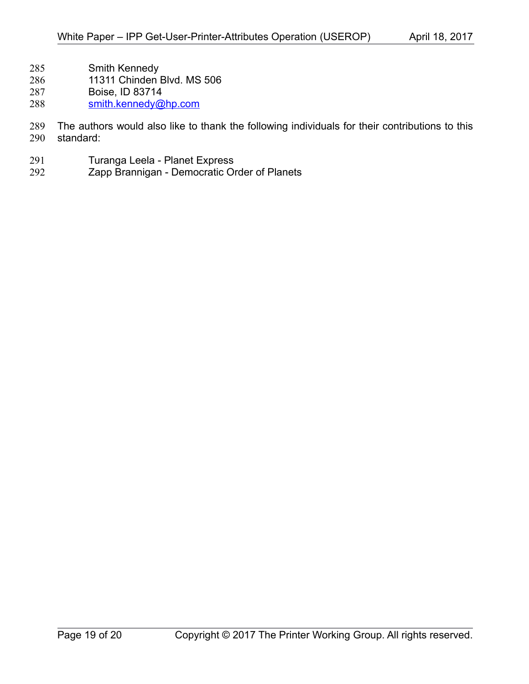- Smith Kennedy 285
- 11311 Chinden Blvd. MS 506 286
- Boise, ID 83714 287
- [smith.kennedy@hp.com](mailto:smith.kennedy@hp.com) 288

The authors would also like to thank the following individuals for their contributions to this standard: 289 290

- Turanga Leela Planet Express 291
- Zapp Brannigan Democratic Order of Planets 292